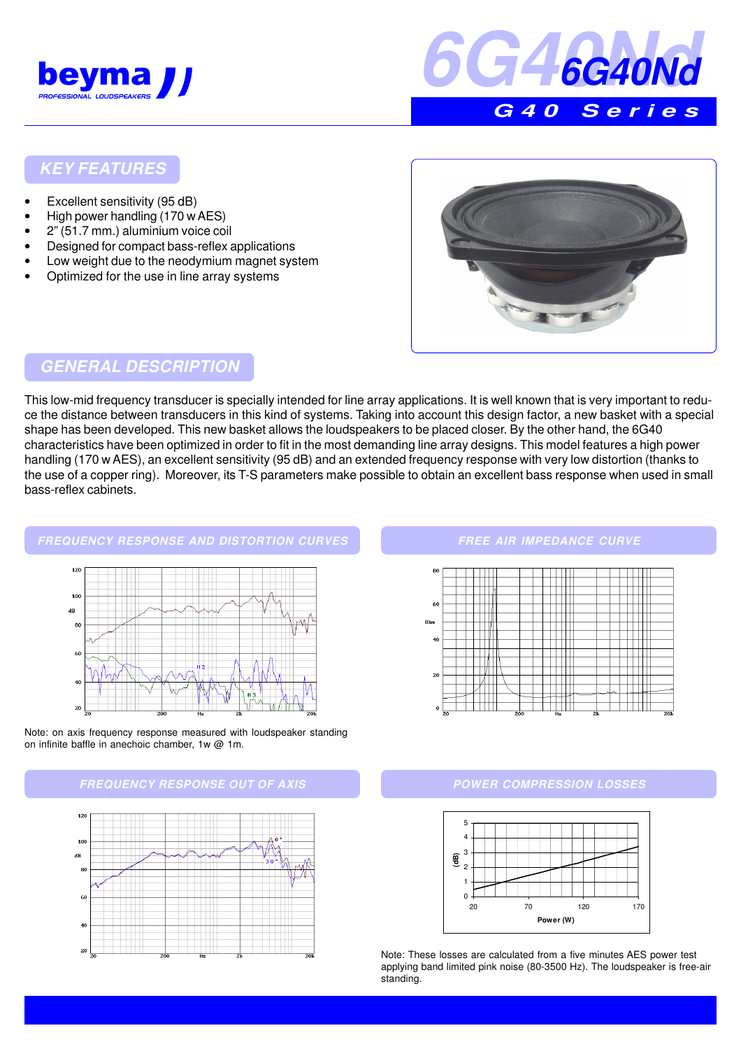



### **KEY FEATURES**

- Excellent sensitivity (95 dB)
- High power handling (170 w AES)
- 2" (51.7 mm.) aluminium voice coil
- Designed for compact bass-reflex applications
- Low weight due to the neodymium magnet system
- Optimized for the use in line array systems



## **GENERAL DESCRIPTION**

This low-mid frequency transducer is specially intended for line array applications. It is well known that is very important to reduce the distance between transducers in this kind of systems. Taking into account this design factor, a new basket with a special shape has been developed. This new basket allows the loudspeakers to be placed closer. By the other hand, the 6G40 characteristics have been optimized in order to fit in the most demanding line array designs. This model features a high power handling (170 w AES), an excellent sensitivity (95 dB) and an extended frequency response with very low distortion (thanks to the use of a copper ring). Moreover, its T-S parameters make possible to obtain an excellent bass response when used in small bass-reflex cabinets.

#### **FREQUENCY RESPONSE AND DISTORTION CURVES**



Note: on axis frequency response measured with loudspeaker standing on infinite baffle in anechoic chamber, 1w @ 1m.





#### **FREE AIR IMPEDANCE CURVE**



#### **POWER COMPRESSION LOSSES**



Note: These losses are calculated from a five minutes AES power test applying band limited pink noise (80-3500 Hz). The loudspeaker is free-air standing.